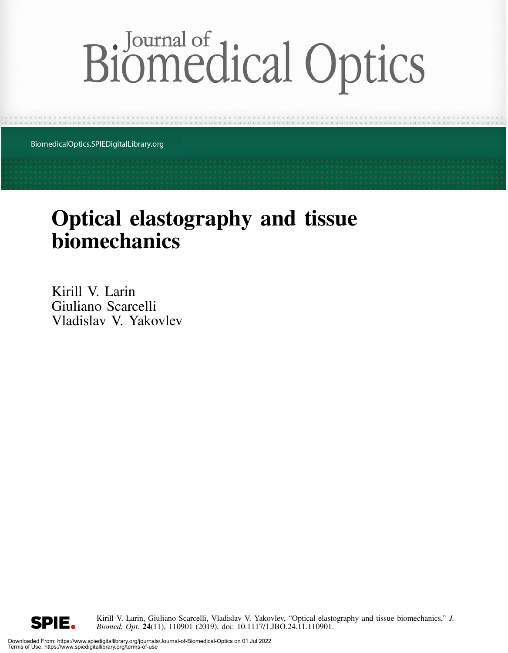# Biomedical Optics

BiomedicalOptics.SPIEDigitalLibrary.org

## Optical elastography and tissue biomechanics

Kirill V. Larin Giuliano Scarcelli Vladislav V. Yakovlev

> Kirill V. Larin, Giuliano Scarcelli, Vladislav V. Yakovlev, "Optical elastography and tissue biomechanics," J. Biomed. Opt. 24(11), 110901 (2019), doi: 10.1117/1.JBO.24.11.110901.

SPIE.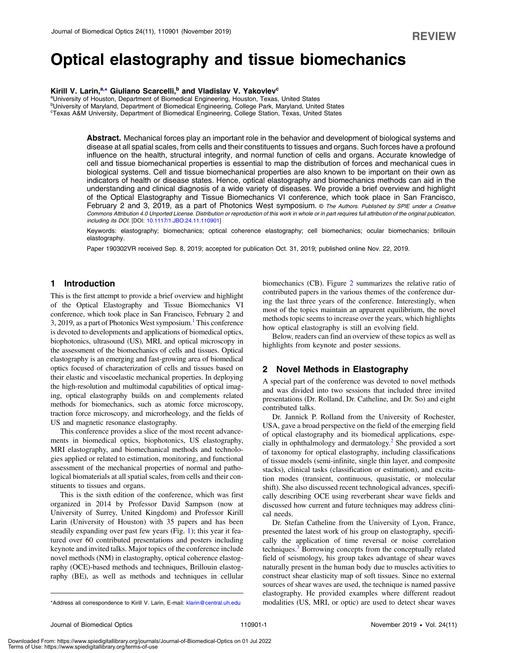### Optical elastography and tissue biomechanics

#### Kirill V. Larin,<sup>a,[\\*](#page-1-0)</sup> Giuliano Scarcelli,<sup>b</sup> and Vladislav V. Yakovlev<sup>c</sup>

aUniversity of Houston, Department of Biomedical Engineering, Houston, Texas, United States <sup>b</sup>University of Maryland, Department of Biomedical Engineering, College Park, Maryland, United States c Texas A&M University, Department of Biomedical Engineering, College Station, Texas, United States

> Abstract. Mechanical forces play an important role in the behavior and development of biological systems and disease at all spatial scales, from cells and their constituents to tissues and organs. Such forces have a profound influence on the health, structural integrity, and normal function of cells and organs. Accurate knowledge of cell and tissue biomechanical properties is essential to map the distribution of forces and mechanical cues in biological systems. Cell and tissue biomechanical properties are also known to be important on their own as indicators of health or disease states. Hence, optical elastography and biomechanics methods can aid in the understanding and clinical diagnosis of a wide variety of diseases. We provide a brief overview and highlight of the Optical Elastography and Tissue Biomechanics VI conference, which took place in San Francisco, February 2 and 3, 2019, as a part of Photonics West symposium. © The Authors. Published by SPIE under a Creative Commons Attribution 4.0 Unported License. Distribution or reproduction of this work in whole or in part requires full attribution of the original publication, including its DOI. [DOI: [10.1117/1.JBO.24.11.110901](https://doi.org/10.1117/1.JBO.24.11.110901)]

> Keywords: elastography; biomechanics; optical coherence elastography; cell biomechanics; ocular biomechanics; brillouin elastography.

Paper 190302VR received Sep. 8, 2019; accepted for publication Oct. 31, 2019; published online Nov. 22, 2019.

#### 1 Introduction

This is the first attempt to provide a brief overview and highlight of the Optical Elastography and Tissue Biomechanics VI conference, which took place in San Francisco, February 2 and 3, 2019, as a part of Photonics West symposium.<sup>1</sup> This conference is devoted to developments and applications of biomedical optics, biophotonics, ultrasound (US), MRI, and optical microscopy in the assessment of the biomechanics of cells and tissues. Optical elastography is an emerging and fast-growing area of biomedical optics focused of characterization of cells and tissues based on their elastic and viscoelastic mechanical properties. In deploying the high-resolution and multimodal capabilities of optical imaging, optical elastography builds on and complements related methods for biomechanics, such as atomic force microscopy, traction force microscopy, and microrheology, and the fields of US and magnetic resonance elastography.

This conference provides a slice of the most recent advancements in biomedical optics, biophotonics, US elastography, MRI elastography, and biomechanical methods and technologies applied or related to estimation, monitoring, and functional assessment of the mechanical properties of normal and pathological biomaterials at all spatial scales, from cells and their constituents to tissues and organs.

This is the sixth edition of the conference, which was first organized in 2014 by Professor David Sampson (now at University of Surrey, United Kingdom) and Professor Kirill Larin (University of Houston) with 35 papers and has been steadily expanding over past few years (Fig. [1\)](#page-2-0); this year it featured over 60 contributed presentations and posters including keynote and invited talks. Major topics of the conference include novel methods (NM) in elastography, optical coherence elastography (OCE)-based methods and techniques, Brillouin elastography (BE), as well as methods and techniques in cellular biomechanics (CB). Figure [2](#page-2-1) summarizes the relative ratio of contributed papers in the various themes of the conference during the last three years of the conference. Interestingly, when most of the topics maintain an apparent equilibrium, the novel methods topic seems to increase over the years, which highlights how optical elastography is still an evolving field.

Below, readers can find an overview of these topics as well as highlights from keynote and poster sessions.

#### 2 Novel Methods in Elastography

A special part of the conference was devoted to novel methods and was divided into two sessions that included three invited presentations (Dr. Rolland, Dr. Catheline, and Dr. So) and eight contributed talks.

Dr. Jannick P. Rolland from the University of Rochester, USA, gave a broad perspective on the field of the emerging field of optical elastography and its biomedical applications, espe-cially in ophthalmology and dermatology.<sup>[2](#page-8-1)</sup> She provided a sort of taxonomy for optical elastography, including classifications of tissue models (semi-infinite, single thin layer, and composite stacks), clinical tasks (classification or estimation), and excitation modes (transient, continuous, quasistatic, or molecular shift). She also discussed recent technological advances, specifically describing OCE using reverberant shear wave fields and discussed how current and future techniques may address clinical needs.

Dr. Stefan Catheline from the University of Lyon, France, presented the latest work of his group on elastography, specifically the application of time reversal or noise correlation techniques.<sup>[3](#page-8-2)</sup> Borrowing concepts from the conceptually related field of seismology, his group takes advantage of shear waves naturally present in the human body due to muscles activities to construct shear elasticity map of soft tissues. Since no external sources of shear waves are used, the technique is named passive elastography. He provided examples where different readout \*Address all correspondence to Kirill V. Larin, E-mail: [klarin@central.uh.edu](mailto:klarin@central.uh.edu) modalities (US, MRI, or optic) are used to detect shear waves

<span id="page-1-0"></span>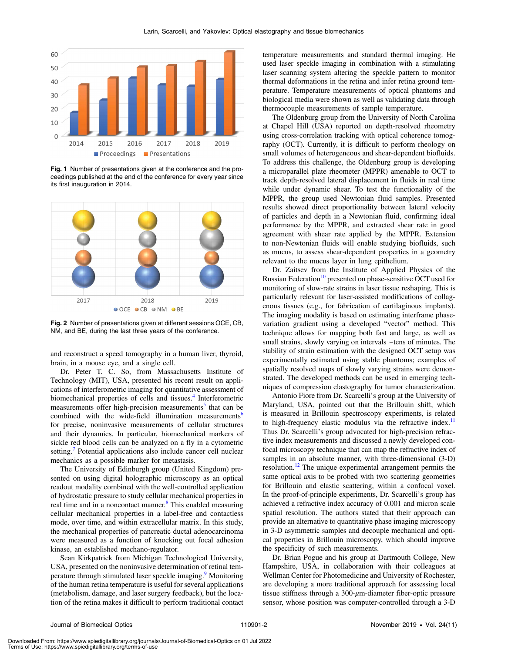<span id="page-2-0"></span>

Fig. 1 Number of presentations given at the conference and the proceedings published at the end of the conference for every year since its first inauguration in 2014.

<span id="page-2-1"></span>

Fig. 2 Number of presentations given at different sessions OCE, CB, NM, and BE, during the last three years of the conference.

and reconstruct a speed tomography in a human liver, thyroid, brain, in a mouse eye, and a single cell.

Dr. Peter T. C. So, from Massachusetts Institute of Technology (MIT), USA, presented his recent result on applications of interferometric imaging for quantitative assessment of biomechanical properties of cells and tissues.<sup>[4](#page-8-3)</sup> Interferometric measurements offer high-precision measurements<sup>[5](#page-8-4)</sup> that can be combined with the wide-field illumination measurements<sup>[6](#page-8-5)</sup> for precise, noninvasive measurements of cellular structures and their dynamics. In particular, biomechanical markers of sickle red blood cells can be analyzed on a fly in a cytometric setting.<sup>[7](#page-8-6)</sup> Potential applications also include cancer cell nuclear mechanics as a possible marker for metastasis.

The University of Edinburgh group (United Kingdom) presented on using digital holographic microscopy as an optical readout modality combined with the well-controlled application of hydrostatic pressure to study cellular mechanical properties in real time and in a noncontact manner.<sup>[8](#page-8-7)</sup> This enabled measuring cellular mechanical properties in a label-free and contactless mode, over time, and within extracellular matrix. In this study, the mechanical properties of pancreatic ductal adenocarcinoma were measured as a function of knocking out focal adhesion kinase, an established mechano-regulator.

Sean Kirkpatrick from Michigan Technological University, USA, presented on the noninvasive determination of retinal tem-perature through stimulated laser speckle imaging.<sup>[9](#page-8-8)</sup> Monitoring of the human retina temperature is useful for several applications (metabolism, damage, and laser surgery feedback), but the location of the retina makes it difficult to perform traditional contact temperature measurements and standard thermal imaging. He used laser speckle imaging in combination with a stimulating laser scanning system altering the speckle pattern to monitor thermal deformations in the retina and infer retina ground temperature. Temperature measurements of optical phantoms and biological media were shown as well as validating data through thermocouple measurements of sample temperature.

The Oldenburg group from the University of North Carolina at Chapel Hill (USA) reported on depth-resolved rheometry using cross-correlation tracking with optical coherence tomography (OCT). Currently, it is difficult to perform rheology on small volumes of heterogeneous and shear-dependent biofluids. To address this challenge, the Oldenburg group is developing a microparallel plate rheometer (MPPR) amenable to OCT to track depth-resolved lateral displacement in fluids in real time while under dynamic shear. To test the functionality of the MPPR, the group used Newtonian fluid samples. Presented results showed direct proportionality between lateral velocity of particles and depth in a Newtonian fluid, confirming ideal performance by the MPPR, and extracted shear rate in good agreement with shear rate applied by the MPPR. Extension to non-Newtonian fluids will enable studying biofluids, such as mucus, to assess shear-dependent properties in a geometry relevant to the mucus layer in lung epithelium.

Dr. Zaitsev from the Institute of Applied Physics of the Russian Federation<sup>[10](#page-8-9)</sup> presented on phase-sensitive OCT used for monitoring of slow-rate strains in laser tissue reshaping. This is particularly relevant for laser-assisted modifications of collagenous tissues (e.g., for fabrication of cartilaginous implants). The imaging modality is based on estimating interframe phasevariation gradient using a developed "vector" method. This technique allows for mapping both fast and large, as well as small strains, slowly varying on intervals ∼tens of minutes. The stability of strain estimation with the designed OCT setup was experimentally estimated using stable phantoms; examples of spatially resolved maps of slowly varying strains were demonstrated. The developed methods can be used in emerging techniques of compression elastography for tumor characterization.

Antonio Fiore from Dr. Scarcelli's group at the University of Maryland, USA, pointed out that the Brillouin shift, which is measured in Brillouin spectroscopy experiments, is related to high-frequency elastic modulus via the refractive index. $11$ Thus Dr. Scarcelli's group advocated for high-precision refractive index measurements and discussed a newly developed confocal microscopy technique that can map the refractive index of samples in an absolute manner, with three-dimensional  $(3-D)$ resolution.<sup>[12](#page-8-11)</sup> The unique experimental arrangement permits the same optical axis to be probed with two scattering geometries for Brillouin and elastic scattering, within a confocal voxel. In the proof-of-principle experiments, Dr. Scarcelli's group has achieved a refractive index accuracy of 0.001 and micron scale spatial resolution. The authors stated that their approach can provide an alternative to quantitative phase imaging microscopy in 3-D asymmetric samples and decouple mechanical and optical properties in Brillouin microscopy, which should improve the specificity of such measurements.

Dr. Brian Pogue and his group at Dartmouth College, New Hampshire, USA, in collaboration with their colleagues at Wellman Center for Photomedicine and University of Rochester, are developing a more traditional approach for assessing local tissue stiffness through a  $300-\mu$ m-diameter fiber-optic pressure sensor, whose position was computer-controlled through a 3-D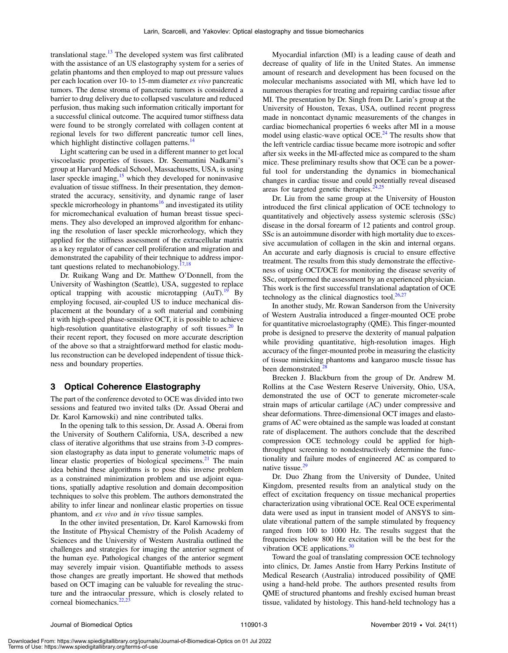translational stage.<sup>[13](#page-8-12)</sup> The developed system was first calibrated with the assistance of an US elastography system for a series of gelatin phantoms and then employed to map out pressure values per each location over 10- to 15-mm diameter ex vivo pancreatic tumors. The dense stroma of pancreatic tumors is considered a barrier to drug delivery due to collapsed vasculature and reduced perfusion, thus making such information critically important for a successful clinical outcome. The acquired tumor stiffness data were found to be strongly correlated with collagen content at regional levels for two different pancreatic tumor cell lines, which highlight distinctive collagen patterns.<sup>[14](#page-8-13)</sup>

Light scattering can be used in a different manner to get local viscoelastic properties of tissues. Dr. Seemantini Nadkarni's group at Harvard Medical School, Massachusetts, USA, is using laser speckle imaging, $15$  which they developed for noninvasive evaluation of tissue stiffness. In their presentation, they demonstrated the accuracy, sensitivity, and dynamic range of laser speckle microrheology in phantoms<sup>[16](#page-8-15)</sup> and investigated its utility for micromechanical evaluation of human breast tissue specimens. They also developed an improved algorithm for enhancing the resolution of laser speckle microrheology, which they applied for the stiffness assessment of the extracellular matrix as a key regulator of cancer cell proliferation and migration and demonstrated the capability of their technique to address important questions related to mechanobiology.<sup> $17,18$  $17,18$ </sup>

Dr. Ruikang Wang and Dr. Matthew O'Donnell, from the University of Washington (Seattle), USA, suggested to replace optical trapping with acoustic microtapping  $(AuT)$ .<sup>[19](#page-8-18)</sup> By employing focused, air-coupled US to induce mechanical displacement at the boundary of a soft material and combining it with high-speed phase-sensitive OCT, it is possible to achieve high-resolution quantitative elastography of soft tissues.<sup>[20](#page-8-19)</sup> In their recent report, they focused on more accurate description of the above so that a straightforward method for elastic modulus reconstruction can be developed independent of tissue thickness and boundary properties.

#### 3 Optical Coherence Elastography

The part of the conference devoted to OCE was divided into two sessions and featured two invited talks (Dr. Assad Oberai and Dr. Karol Karnowski) and nine contributed talks.

In the opening talk to this session, Dr. Assad A. Oberai from the University of Southern California, USA, described a new class of iterative algorithms that use strains from 3-D compression elastography as data input to generate volumetric maps of linear elastic properties of biological specimens. $21$  The main idea behind these algorithms is to pose this inverse problem as a constrained minimization problem and use adjoint equations, spatially adaptive resolution and domain decomposition techniques to solve this problem. The authors demonstrated the ability to infer linear and nonlinear elastic properties on tissue phantom, and ex vivo and in vivo tissue samples.

In the other invited presentation, Dr. Karol Karnowski from the Institute of Physical Chemistry of the Polish Academy of Sciences and the University of Western Australia outlined the challenges and strategies for imaging the anterior segment of the human eye. Pathological changes of the anterior segment may severely impair vision. Quantifiable methods to assess those changes are greatly important. He showed that methods based on OCT imaging can be valuable for revealing the structure and the intraocular pressure, which is closely related to corneal biomechanics. $22$ 

Myocardial infarction (MI) is a leading cause of death and decrease of quality of life in the United States. An immense amount of research and development has been focused on the molecular mechanisms associated with MI, which have led to numerous therapies for treating and repairing cardiac tissue after MI. The presentation by Dr. Singh from Dr. Larin's group at the University of Houston, Texas, USA, outlined recent progress made in noncontact dynamic measurements of the changes in cardiac biomechanical properties 6 weeks after MI in a mouse model using elastic-wave optical OCE.<sup>24</sup> The results show that the left ventricle cardiac tissue became more isotropic and softer after six weeks in the MI-affected mice as compared to the sham mice. These preliminary results show that OCE can be a powerful tool for understanding the dynamics in biomechanical changes in cardiac tissue and could potentially reveal diseased areas for targeted genetic therapies. $24,25$  $24,25$  $24,25$ 

Dr. Liu from the same group at the University of Houston introduced the first clinical application of OCE technology to quantitatively and objectively assess systemic sclerosis (SSc) disease in the dorsal forearm of 12 patients and control group. SSc is an autoimmune disorder with high mortality due to excessive accumulation of collagen in the skin and internal organs. An accurate and early diagnosis is crucial to ensure effective treatment. The results from this study demonstrate the effectiveness of using OCT/OCE for monitoring the disease severity of SSc, outperformed the assessment by an experienced physician. This work is the first successful translational adaptation of OCE technology as the clinical diagnostics tool. $26,27$  $26,27$  $26,27$ 

In another study, Mr. Rowan Sanderson from the University of Western Australia introduced a finger-mounted OCE probe for quantitative microelastography (QME). This finger-mounted probe is designed to preserve the dexterity of manual palpation while providing quantitative, high-resolution images. High accuracy of the finger-mounted probe in measuring the elasticity of tissue mimicking phantoms and kangaroo muscle tissue has been demonstrated.<sup>2</sup>

Brecken J. Blackburn from the group of Dr. Andrew M. Rollins at the Case Western Reserve University, Ohio, USA, demonstrated the use of OCT to generate micrometer-scale strain maps of articular cartilage (AC) under compressive and shear deformations. Three-dimensional OCT images and elastograms of AC were obtained as the sample was loaded at constant rate of displacement. The authors conclude that the described compression OCE technology could be applied for highthroughput screening to nondestructively determine the functionality and failure modes of engineered AC as compared to native tissue.<sup>[29](#page-8-28)</sup>

Dr. Duo Zhang from the University of Dundee, United Kingdom, presented results from an analytical study on the effect of excitation frequency on tissue mechanical properties characterization using vibrational OCE. Real OCE experimental data were used as input in transient model of ANSYS to simulate vibrational pattern of the sample stimulated by frequency ranged from 100 to 1000 Hz. The results suggest that the frequencies below 800 Hz excitation will be the best for the vibration OCE applications. $30$ 

Toward the goal of translating compression OCE technology into clinics, Dr. James Anstie from Harry Perkins Institute of Medical Research (Australia) introduced possibility of QME using a hand-held probe. The authors presented results from QME of structured phantoms and freshly excised human breast tissue, validated by histology. This hand-held technology has a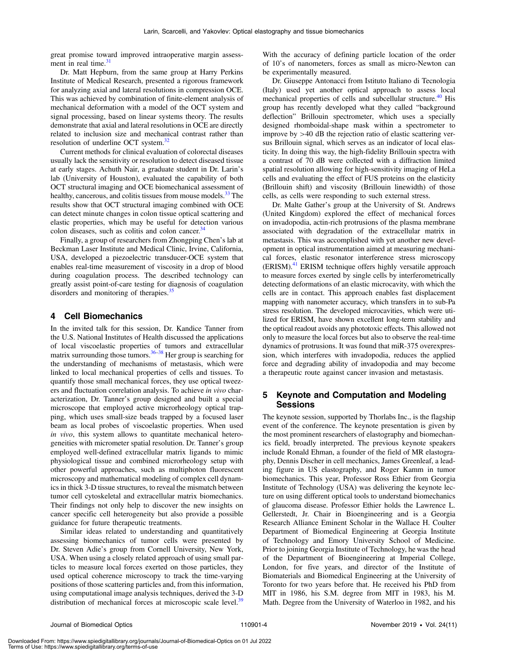great promise toward improved intraoperative margin assessment in real time. $31$ 

Dr. Matt Hepburn, from the same group at Harry Perkins Institute of Medical Research, presented a rigorous framework for analyzing axial and lateral resolutions in compression OCE. This was achieved by combination of finite-element analysis of mechanical deformation with a model of the OCT system and signal processing, based on linear systems theory. The results demonstrate that axial and lateral resolutions in OCE are directly related to inclusion size and mechanical contrast rather than resolution of underline OCT system.<sup>[32](#page-8-31)</sup>

Current methods for clinical evaluation of colorectal diseases usually lack the sensitivity or resolution to detect diseased tissue at early stages. Achuth Nair, a graduate student in Dr. Larin's lab (University of Houston), evaluated the capability of both OCT structural imaging and OCE biomechanical assessment of healthy, cancerous, and colitis tissues from mouse models.<sup>[33](#page-9-0)</sup> The results show that OCT structural imaging combined with OCE can detect minute changes in colon tissue optical scattering and elastic properties, which may be useful for detection various colon diseases, such as colitis and colon cancer.<sup>3</sup>

Finally, a group of researchers from Zhongping Chen's lab at Beckman Laser Institute and Medical Clinic, Irvine, California, USA, developed a piezoelectric transducer-OCE system that enables real-time measurement of viscosity in a drop of blood during coagulation process. The described technology can greatly assist point-of-care testing for diagnosis of coagulation disorders and monitoring of therapies.<sup>[35](#page-9-2)</sup>

#### 4 Cell Biomechanics

In the invited talk for this session, Dr. Kandice Tanner from the U.S. National Institutes of Health discussed the applications of local viscoelastic properties of tumors and extracellular matrix surrounding those tumors.<sup>[36](#page-9-3)–[38](#page-9-4)</sup> Her group is searching for the understanding of mechanisms of metastasis, which were linked to local mechanical properties of cells and tissues. To quantify those small mechanical forces, they use optical tweezers and fluctuation correlation analysis. To achieve in vivo characterization, Dr. Tanner's group designed and built a special microscope that employed active microrheology optical trapping, which uses small-size beads trapped by a focused laser beam as local probes of viscoelastic properties. When used in vivo, this system allows to quantitate mechanical heterogeneities with micrometer spatial resolution. Dr. Tanner's group employed well-defined extracellular matrix ligands to mimic physiological tissue and combined microrheology setup with other powerful approaches, such as multiphoton fluorescent microscopy and mathematical modeling of complex cell dynamics in thick 3-D tissue structures, to reveal the mismatch between tumor cell cytoskeletal and extracellular matrix biomechanics. Their findings not only help to discover the new insights on cancer specific cell heterogeneity but also provide a possible guidance for future therapeutic treatments.

Similar ideas related to understanding and quantitatively assessing biomechanics of tumor cells were presented by Dr. Steven Adie's group from Cornell University, New York, USA. When using a closely related approach of using small particles to measure local forces exerted on those particles, they used optical coherence microscopy to track the time-varying positions of those scattering particles and, from this information, using computational image analysis techniques, derived the 3-D distribution of mechanical forces at microscopic scale level.<sup>39</sup> With the accuracy of defining particle location of the order of 10's of nanometers, forces as small as micro-Newton can be experimentally measured.

Dr. Giuseppe Antonacci from Istituto Italiano di Tecnologia (Italy) used yet another optical approach to assess local mechanical properties of cells and subcellular structure.<sup>[40](#page-9-6)</sup> His group has recently developed what they called "background deflection" Brillouin spectrometer, which uses a specially designed rhomboidal-shape mask within a spectrometer to improve by >40 dB the rejection ratio of elastic scattering versus Brillouin signal, which serves as an indicator of local elasticity. In doing this way, the high-fidelity Brillouin spectra with a contrast of 70 dB were collected with a diffraction limited spatial resolution allowing for high-sensitivity imaging of HeLa cells and evaluating the effect of FUS proteins on the elasticity (Brillouin shift) and viscosity (Brillouin linewidth) of those cells, as cells were responding to such external stress.

Dr. Malte Gather's group at the University of St. Andrews (United Kingdom) explored the effect of mechanical forces on invadopodia, actin-rich protrusions of the plasma membrane associated with degradation of the extracellular matrix in metastasis. This was accomplished with yet another new development in optical instrumentation aimed at measuring mechanical forces, elastic resonator interference stress microscopy (ERISM).[41](#page-9-7) ERISM technique offers highly versatile approach to measure forces exerted by single cells by interferometrically detecting deformations of an elastic microcavity, with which the cells are in contact. This approach enables fast displacement mapping with nanometer accuracy, which transfers in to sub-Pa stress resolution. The developed microcavities, which were utilized for ERISM, have shown excellent long-term stability and the optical readout avoids any phototoxic effects. This allowed not only to measure the local forces but also to observe the real-time dynamics of protrusions. It was found that miR-375 overexpression, which interferes with invadopodia, reduces the applied force and degrading ability of invadopodia and may become a therapeutic route against cancer invasion and metastasis.

#### 5 Keynote and Computation and Modeling Sessions

The keynote session, supported by Thorlabs Inc., is the flagship event of the conference. The keynote presentation is given by the most prominent researchers of elastography and biomechanics field, broadly interpreted. The previous keynote speakers include Ronald Ehman, a founder of the field of MR elastography, Dennis Discher in cell mechanics, James Greenleaf, a leading figure in US elastography, and Roger Kamm in tumor biomechanics. This year, Professor Ross Ethier from Georgia Institute of Technology (USA) was delivering the keynote lecture on using different optical tools to understand biomechanics of glaucoma disease. Professor Ethier holds the Lawrence L. Gellerstedt, Jr. Chair in Bioengineering and is a Georgia Research Alliance Eminent Scholar in the Wallace H. Coulter Department of Biomedical Engineering at Georgia Institute of Technology and Emory University School of Medicine. Prior to joining Georgia Institute of Technology, he was the head of the Department of Bioengineering at Imperial College, London, for five years, and director of the Institute of Biomaterials and Biomedical Engineering at the University of Toronto for two years before that. He received his PhD from MIT in 1986, his S.M. degree from MIT in 1983, his M. Math. Degree from the University of Waterloo in 1982, and his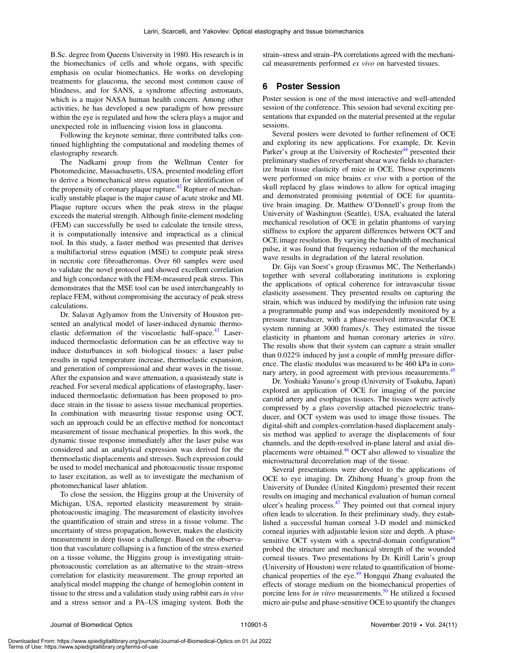B.Sc. degree from Queens University in 1980. His research is in the biomechanics of cells and whole organs, with specific emphasis on ocular biomechanics. He works on developing treatments for glaucoma, the second most common cause of blindness, and for SANS, a syndrome affecting astronauts, which is a major NASA human health concern. Among other activities, he has developed a new paradigm of how pressure within the eye is regulated and how the sclera plays a major and unexpected role in influencing vision loss in glaucoma.

Following the keynote seminar, three contributed talks continued highlighting the computational and modeling themes of elastography research.

The Nadkarni group from the Wellman Center for Photomedicine, Massachusetts, USA, presented modeling effort to derive a biomechanical stress equation for identification of the propensity of coronary plaque rupture.<sup>42</sup> Rupture of mechanically unstable plaque is the major cause of acute stroke and MI. Plaque rupture occurs when the peak stress in the plaque exceeds the material strength. Although finite-element modeling (FEM) can successfully be used to calculate the tensile stress, it is computationally intensive and impractical as a clinical tool. In this study, a faster method was presented that derives a multifactorial stress equation (MSE) to compute peak stress in necrotic core fibroatheromas. Over 60 samples were used to validate the novel protocol and showed excellent correlation and high concordance with the FEM-measured peak stress. This demonstrates that the MSE tool can be used interchangeably to replace FEM, without compromising the accuracy of peak stress calculations.

Dr. Salavat Aglyamov from the University of Houston presented an analytical model of laser-induced dynamic thermo-elastic deformation of the viscoelastic half-space.<sup>[43](#page-9-9)</sup> Laserinduced thermoelastic deformation can be an effective way to induce disturbances in soft biological tissues: a laser pulse results in rapid temperature increase, thermoelastic expansion, and generation of compressional and shear waves in the tissue. After the expansion and wave attenuation, a quasisteady state is reached. For several medical applications of elastography, laserinduced thermoelastic deformation has been proposed to produce strain in the tissue to assess tissue mechanical properties. In combination with measuring tissue response using OCT, such an approach could be an effective method for noncontact measurement of tissue mechanical properties. In this work, the dynamic tissue response immediately after the laser pulse was considered and an analytical expression was derived for the thermoelastic displacements and stresses. Such expression could be used to model mechanical and photoacoustic tissue response to laser excitation, as well as to investigate the mechanism of photomechanical laser ablation.

To close the session, the Higgins group at the University of Michigan, USA, reported elasticity measurement by strainphotoacoustic imaging. The measurement of elasticity involves the quantification of strain and stress in a tissue volume. The uncertainty of stress propagation, however, makes the elasticity measurement in deep tissue a challenge. Based on the observation that vasculature collapsing is a function of the stress exerted on a tissue volume, the Higgins group is investigating strainphotoacoustic correlation as an alternative to the strain–stress correlation for elasticity measurement. The group reported an analytical model mapping the change of hemoglobin content in tissue to the stress and a validation study using rabbit ears in vivo and a stress sensor and a PA–US imaging system. Both the

strain–stress and strain–PA correlations agreed with the mechanical measurements performed ex vivo on harvested tissues.

#### 6 Poster Session

Poster session is one of the most interactive and well-attended session of the conference. This session had several exciting presentations that expanded on the material presented at the regular sessions.

Several posters were devoted to further refinement of OCE and exploring its new applications. For example, Dr. Kevin Parker's group at the University of Rochester<sup>[44](#page-9-10)</sup> presented their preliminary studies of reverberant shear wave fields to characterize brain tissue elasticity of mice in OCE. Those experiments were performed on mice brains ex vivo with a portion of the skull replaced by glass windows to allow for optical imaging and demonstrated promising potential of OCE for quantitative brain imaging. Dr. Matthew O'Donnell's group from the University of Washington (Seattle), USA, evaluated the lateral mechanical resolution of OCE in gelatin phantoms of varying stiffness to explore the apparent differences between OCT and OCE image resolution. By varying the bandwidth of mechanical pulse, it was found that frequency reduction of the mechanical wave results in degradation of the lateral resolution.

Dr. Gijs van Soest's group (Erasmus MC, The Netherlands) together with several collaborating institutions is exploring the applications of optical coherence for intravascular tissue elasticity assessment. They presented results on capturing the strain, which was induced by modifying the infusion rate using a programmable pump and was independently monitored by a pressure transducer, with a phase-resolved intravascular OCE system running at 3000 frames/s. They estimated the tissue elasticity in phantom and human coronary arteries in vitro. The results show that their system can capture a strain smaller than 0.022% induced by just a couple of mmHg pressure difference. The elastic modulus was measured to be 460 kPa in coronary artery, in good agreement with previous measurements.<sup>45</sup>

Dr. Yoshiaki Yasuno's group (University of Tsukuba, Japan) explored an application of OCE for imaging of the porcine carotid artery and esophagus tissues. The tissues were actively compressed by a glass coverslip attached piezoelectric transducer, and OCT system was used to image those tissues. The digital-shift and complex-correlation-based displacement analysis method was applied to average the displacements of four channels, and the depth-resolved in-plane lateral and axial displacements were obtained.[46](#page-9-12) OCT also allowed to visualize the microstructural decorrelation map of the tissue.

Several presentations were devoted to the applications of OCE to eye imaging. Dr. Zhihong Huang's group from the University of Dundee (United Kingdom) presented their recent results on imaging and mechanical evaluation of human corneal ulcer's healing process.<sup>[47](#page-9-13)</sup> They pointed out that corneal injury often leads to ulceration. In their preliminary study, they established a successful human corneal 3-D model and mimicked corneal injuries with adjustable lesion size and depth. A phase-sensitive OCT system with a spectral-domain configuration<sup>[48](#page-9-14)</sup> probed the structure and mechanical strength of the wounded corneal tissues. Two presentations by Dr. Kirill Larin's group (University of Houston) were related to quantification of biome-chanical properties of the eye.<sup>[49](#page-9-15)</sup> Hongqui Zhang evaluated the effects of storage medium on the biomechanical properties of porcine lens for *in vitro* measurements.<sup>[50](#page-9-16)</sup> He utilized a focused micro air-pulse and phase-sensitive OCE to quantify the changes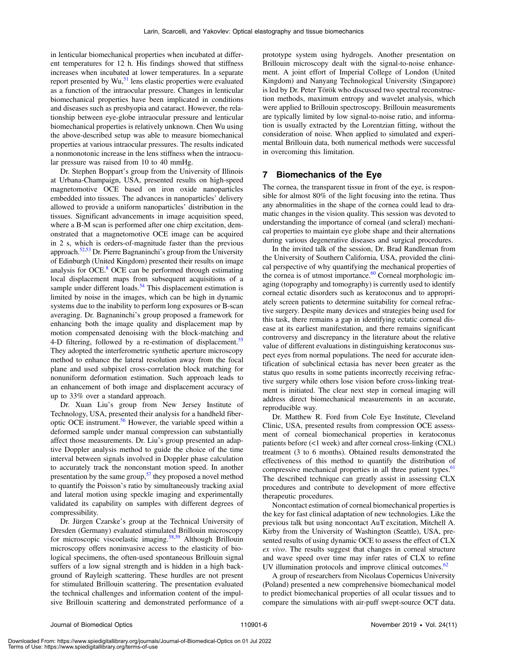in lenticular biomechanical properties when incubated at different temperatures for 12 h. His findings showed that stiffness increases when incubated at lower temperatures. In a separate report presented by  $Wu$ , <sup>51</sup> lens elastic properties were evaluated as a function of the intraocular pressure. Changes in lenticular biomechanical properties have been implicated in conditions and diseases such as presbyopia and cataract. However, the relationship between eye-globe intraocular pressure and lenticular biomechanical properties is relatively unknown. Chen Wu using the above-described setup was able to measure biomechanical properties at various intraocular pressures. The results indicated a nonmonotonic increase in the lens stiffness when the intraocular pressure was raised from 10 to 40 mmHg.

Dr. Stephen Boppart's group from the University of Illinois at Urbana-Champaign, USA, presented results on high-speed magnetomotive OCE based on iron oxide nanoparticles embedded into tissues. The advances in nanoparticles' delivery allowed to provide a uniform nanoparticles' distribution in the tissues. Significant advancements in image acquisition speed, where a B-M scan is performed after one chirp excitation, demonstrated that a magnetomotive OCE image can be acquired in 2 s, which is orders-of-magnitude faster than the previous approach.<sup>[52](#page-9-18)[,53](#page-9-19)</sup> Dr. Pierre Bagnaninchi's group from the University of Edinburgh (United Kingdom) presented their results on image analysis for OCE. $8$  OCE can be performed through estimating local displacement maps from subsequent acquisitions of a sample under different loads.<sup>[54](#page-9-20)</sup> This displacement estimation is limited by noise in the images, which can be high in dynamic systems due to the inability to perform long exposures or B-scan averaging. Dr. Bagnaninchi's group proposed a framework for enhancing both the image quality and displacement map by motion compensated denoising with the block-matching and 4-D filtering, followed by a re-estimation of displacement.<sup>[55](#page-9-21)</sup> They adopted the interferometric synthetic aperture microscopy method to enhance the lateral resolution away from the focal plane and used subpixel cross-correlation block matching for nonuniform deformation estimation. Such approach leads to an enhancement of both image and displacement accuracy of up to 33% over a standard approach.

Dr. Xuan Liu's group from New Jersey Institute of Technology, USA, presented their analysis for a handheld fiber-optic OCE instrument.<sup>[56](#page-9-22)</sup> However, the variable speed within a deformed sample under manual compression can substantially affect those measurements. Dr. Liu's group presented an adaptive Doppler analysis method to guide the choice of the time interval between signals involved in Doppler phase calculation to accurately track the nonconstant motion speed. In another presentation by the same group,<sup>57</sup> they proposed a novel method to quantify the Poisson's ratio by simultaneously tracking axial and lateral motion using speckle imaging and experimentally validated its capability on samples with different degrees of compressibility.

Dr. Jürgen Czarske's group at the Technical University of Dresden (Germany) evaluated stimulated Brillouin microscopy for microscopic viscoelastic imaging.<sup>[58,](#page-9-24)[59](#page-9-25)</sup> Although Brillouin microscopy offers noninvasive access to the elasticity of biological specimens, the often-used spontaneous Brillouin signal suffers of a low signal strength and is hidden in a high background of Rayleigh scattering. These hurdles are not present for stimulated Brillouin scattering. The presentation evaluated the technical challenges and information content of the impulsive Brillouin scattering and demonstrated performance of a

prototype system using hydrogels. Another presentation on Brillouin microscopy dealt with the signal-to-noise enhancement. A joint effort of Imperial College of London (United Kingdom) and Nanyang Technological University (Singapore) is led by Dr. Peter Török who discussed two spectral reconstruction methods, maximum entropy and wavelet analysis, which were applied to Brillouin spectroscopy. Brillouin measurements are typically limited by low signal-to-noise ratio, and information is usually extracted by the Lorentzian fitting, without the consideration of noise. When applied to simulated and experimental Brillouin data, both numerical methods were successful in overcoming this limitation.

#### 7 Biomechanics of the Eye

The cornea, the transparent tissue in front of the eye, is responsible for almost 80% of the light focusing into the retina. Thus any abnormalities in the shape of the cornea could lead to dramatic changes in the vision quality. This session was devoted to understanding the importance of corneal (and scleral) mechanical properties to maintain eye globe shape and their alternations during various degenerative diseases and surgical procedures.

In the invited talk of the session, Dr. Brad Randleman from the University of Southern California, USA, provided the clinical perspective of why quantifying the mechanical properties of the cornea is of utmost importance. $60$  Corneal morphologic imaging (topography and tomography) is currently used to identify corneal ectatic disorders such as keratoconus and to appropriately screen patients to determine suitability for corneal refractive surgery. Despite many devices and strategies being used for this task, there remains a gap in identifying ectatic corneal disease at its earliest manifestation, and there remains significant controversy and discrepancy in the literature about the relative value of different evaluations in distinguishing keratoconus suspect eyes from normal populations. The need for accurate identification of subclinical ectasia has never been greater as the status quo results in some patients incorrectly receiving refractive surgery while others lose vision before cross-linking treatment is initiated. The clear next step in corneal imaging will address direct biomechanical measurements in an accurate, reproducible way.

Dr. Matthew R. Ford from Cole Eye Institute, Cleveland Clinic, USA, presented results from compression OCE assessment of corneal biomechanical properties in keratoconus patients before (<1 week) and after corneal cross-linking (CXL) treatment (3 to 6 months). Obtained results demonstrated the effectiveness of this method to quantify the distribution of compressive mechanical properties in all three patient types.<sup>[61](#page-9-27)</sup> The described technique can greatly assist in assessing CLX procedures and contribute to development of more effective therapeutic procedures.

Noncontact estimation of corneal biomechanical properties is the key for fast clinical adaptation of new technologies. Like the previous talk but using noncontact AuT excitation, Mitchell A. Kirby from the University of Washington (Seattle), USA, presented results of using dynamic OCE to assess the effect of CLX ex vivo. The results suggest that changes in corneal structure and wave speed over time may infer rates of CLX to refine UV illumination protocols and improve clinical outcomes. $62$ 

A group of researchers from Nicolaus Copernicus University (Poland) presented a new comprehensive biomechanical model to predict biomechanical properties of all ocular tissues and to compare the simulations with air-puff swept-source OCT data.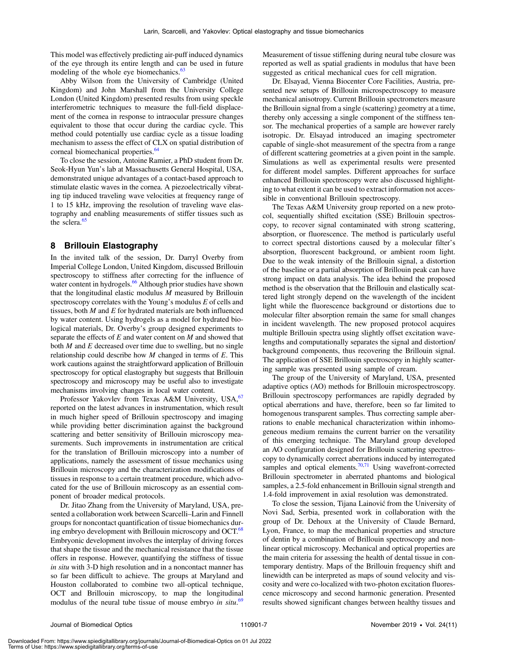This model was effectively predicting air-puff induced dynamics of the eye through its entire length and can be used in future modeling of the whole eye biomechanics.<sup>[63](#page-9-29)</sup>

Abby Wilson from the University of Cambridge (United Kingdom) and John Marshall from the University College London (United Kingdom) presented results from using speckle interferometric techniques to measure the full-field displacement of the cornea in response to intraocular pressure changes equivalent to those that occur during the cardiac cycle. This method could potentially use cardiac cycle as a tissue loading mechanism to assess the effect of CLX on spatial distribution of corneal biomechanical properties.<sup>[64](#page-9-30)</sup>

To close the session, Antoine Ramier, a PhD student from Dr. Seok-Hyun Yun's lab at Massachusetts General Hospital, USA, demonstrated unique advantages of a contact-based approach to stimulate elastic waves in the cornea. A piezoelectrically vibrating tip induced traveling wave velocities at frequency range of 1 to 15 kHz, improving the resolution of traveling wave elastography and enabling measurements of stiffer tissues such as the sclera.<sup>[65](#page-9-31)</sup>

#### 8 Brillouin Elastography

In the invited talk of the session, Dr. Darryl Overby from Imperial College London, United Kingdom, discussed Brillouin spectroscopy to stiffness after correcting for the influence of water content in hydrogels.<sup>[66](#page-9-32)</sup> Although prior studies have shown that the longitudinal elastic modulus  $M$  measured by Brillouin spectroscopy correlates with the Young's modulus  $E$  of cells and tissues, both  $M$  and  $E$  for hydrated materials are both influenced by water content. Using hydrogels as a model for hydrated biological materials, Dr. Overby's group designed experiments to separate the effects of  $E$  and water content on  $M$  and showed that both  $M$  and  $E$  decreased over time due to swelling, but no single relationship could describe how  $M$  changed in terms of  $E$ . This work cautions against the straightforward application of Brillouin spectroscopy for optical elastography but suggests that Brillouin spectroscopy and microscopy may be useful also to investigate mechanisms involving changes in local water content.

Professor Yakovlev from Texas A&M University, USA, <sup>[67](#page-9-33)</sup> reported on the latest advances in instrumentation, which result in much higher speed of Brillouin spectroscopy and imaging while providing better discrimination against the background scattering and better sensitivity of Brillouin microscopy measurements. Such improvements in instrumentation are critical for the translation of Brillouin microscopy into a number of applications, namely the assessment of tissue mechanics using Brillouin microscopy and the characterization modifications of tissues in response to a certain treatment procedure, which advocated for the use of Brillouin microscopy as an essential component of broader medical protocols.

Dr. Jitao Zhang from the University of Maryland, USA, presented a collaboration work between Scarcelli–Larin and Finnell groups for noncontact quantification of tissue biomechanics dur-ing embryo development with Brillouin microscopy and OCT.<sup>[68](#page-9-34)</sup> Embryonic development involves the interplay of driving forces that shape the tissue and the mechanical resistance that the tissue offers in response. However, quantifying the stiffness of tissue in situ with 3-D high resolution and in a noncontact manner has so far been difficult to achieve. The groups at Maryland and Houston collaborated to combine two all-optical technique, OCT and Brillouin microscopy, to map the longitudinal modulus of the neural tube tissue of mouse embryo in situ.<sup>[69](#page-9-35)</sup>

Measurement of tissue stiffening during neural tube closure was reported as well as spatial gradients in modulus that have been suggested as critical mechanical cues for cell migration.

Dr. Elsayad, Vienna Biocenter Core Facilities, Austria, presented new setups of Brillouin microspectroscopy to measure mechanical anisotropy. Current Brillouin spectrometers measure the Brillouin signal from a single (scattering) geometry at a time, thereby only accessing a single component of the stiffness tensor. The mechanical properties of a sample are however rarely isotropic. Dr. Elsayad introduced an imaging spectrometer capable of single-shot measurement of the spectra from a range of different scattering geometries at a given point in the sample. Simulations as well as experimental results were presented for different model samples. Different approaches for surface enhanced Brillouin spectroscopy were also discussed highlighting to what extent it can be used to extract information not accessible in conventional Brillouin spectroscopy.

The Texas A&M University group reported on a new protocol, sequentially shifted excitation (SSE) Brillouin spectroscopy, to recover signal contaminated with strong scattering, absorption, or fluorescence. The method is particularly useful to correct spectral distortions caused by a molecular filter's absorption, fluorescent background, or ambient room light. Due to the weak intensity of the Brillouin signal, a distortion of the baseline or a partial absorption of Brillouin peak can have strong impact on data analysis. The idea behind the proposed method is the observation that the Brillouin and elastically scattered light strongly depend on the wavelength of the incident light while the fluorescence background or distortions due to molecular filter absorption remain the same for small changes in incident wavelength. The new proposed protocol acquires multiple Brillouin spectra using slightly offset excitation wavelengths and computationally separates the signal and distortion/ background components, thus recovering the Brillouin signal. The application of SSE Brillouin spectroscopy in highly scattering sample was presented using sample of cream.

The group of the University of Maryland, USA, presented adaptive optics (AO) methods for Brillouin microspectroscopy. Brillouin spectroscopy performances are rapidly degraded by optical aberrations and have, therefore, been so far limited to homogenous transparent samples. Thus correcting sample aberrations to enable mechanical characterization within inhomogeneous medium remains the current barrier on the versatility of this emerging technique. The Maryland group developed an AO configuration designed for Brillouin scattering spectroscopy to dynamically correct aberrations induced by interrogated samples and optical elements. $70,71$  $70,71$  $70,71$  Using wavefront-corrected Brillouin spectrometer in aberrated phantoms and biological samples, a 2.5-fold enhancement in Brillouin signal strength and 1.4-fold improvement in axial resolution was demonstrated.

To close the session, Tijana Lainović from the University of Novi Sad, Serbia, presented work in collaboration with the group of Dr. Dehoux at the University of Claude Bernard, Lyon, France, to map the mechanical properties and structure of dentin by a combination of Brillouin spectroscopy and nonlinear optical microscopy. Mechanical and optical properties are the main criteria for assessing the health of dental tissue in contemporary dentistry. Maps of the Brillouin frequency shift and linewidth can be interpreted as maps of sound velocity and viscosity and were co-localized with two-photon excitation fluorescence microscopy and second harmonic generation. Presented results showed significant changes between healthy tissues and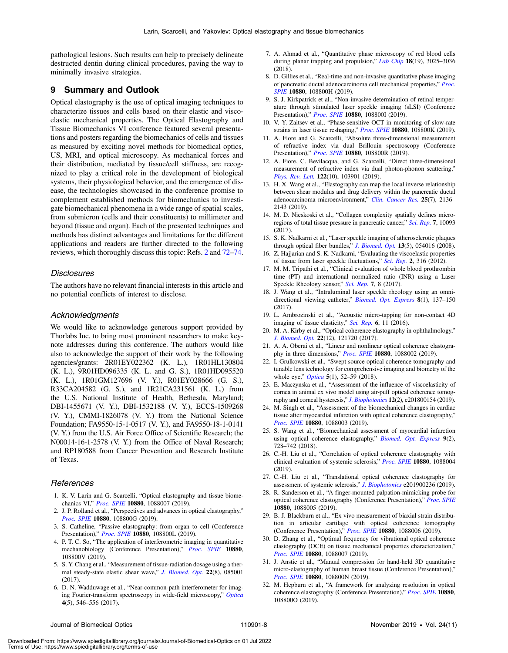pathological lesions. Such results can help to precisely delineate destructed dentin during clinical procedures, paving the way to minimally invasive strategies.

#### 9 Summary and Outlook

Optical elastography is the use of optical imaging techniques to characterize tissues and cells based on their elastic and viscoelastic mechanical properties. The Optical Elastography and Tissue Biomechanics VI conference featured several presentations and posters regarding the biomechanics of cells and tissues as measured by exciting novel methods for biomedical optics, US, MRI, and optical microscopy. As mechanical forces and their distribution, mediated by tissue/cell stiffness, are recognized to play a critical role in the development of biological systems, their physiological behavior, and the emergence of disease, the technologies showcased in the conference promise to complement established methods for biomechanics to investigate biomechanical phenomena in a wide range of spatial scales, from submicron (cells and their constituents) to millimeter and beyond (tissue and organ). Each of the presented techniques and methods has distinct advantages and limitations for the different applications and readers are further directed to the following reviews, which thoroughly discuss this topic: Refs. [2](#page-8-1) and [72](#page-9-38)–[74.](#page-9-39)

#### Disclosures

The authors have no relevant financial interests in this article and no potential conflicts of interest to disclose.

#### Acknowledgments

We would like to acknowledge generous support provided by Thorlabs Inc. to bring most prominent researchers to make keynote addresses during this conference. The authors would like also to acknowledge the support of their work by the following agencies/grants: 2R01EY022362 (K. L.), 1R01HL130804 (K. L.), 9R01HD096335 (K. L. and G. S.), 1R01HD095520 (K. L.), 1R01GM127696 (V. Y.), R01EY028666 (G. S.), R33CA204582 (G. S.), and 1R21CA231561 (K. L.) from the U.S. National Institute of Health, Bethesda, Maryland; DBI-1455671 (V. Y.), DBI-1532188 (V. Y.), ECCS-1509268 (V. Y.), CMMI-1826078 (V. Y.) from the National Science Foundation; FA9550-15-1-0517 (V. Y.), and FA9550-18-1-0141 (V. Y.) from the U.S. Air Force Office of Scientific Research; the N00014-16-1-2578 (V. Y.) from the Office of Naval Research; and RP180588 from Cancer Prevention and Research Institute of Texas.

#### <span id="page-8-0"></span>References

- <span id="page-8-1"></span>1. K. V. Larin and G. Scarcelli, "Optical elastography and tissue biomechanics VI," [Proc. SPIE](https://doi.org/10.1117/12.2523407) 10880, 1088007 (2019).
- <span id="page-8-2"></span>2. J. P. Rolland et al., "Perspectives and advances in optical elastography," [Proc. SPIE](https://doi.org/10.1117/12.2515946) 10880, 108800G (2019).
- <span id="page-8-3"></span>3. S. Catheline, "Passive elastography: from organ to cell (Conference Presentation)," [Proc. SPIE](https://doi.org/10.1117/12.2516534) 10880, 108800L (2019).
- 4. P. T. C. So, "The application of interferometric imaging in quantitative mechanobiology (Conference Presentation)," [Proc. SPIE](https://doi.org/10.1117/12.2516343) 10880, 108800V (2019).
- <span id="page-8-4"></span>5. S. Y. Chang et al., "Measurement of tissue-radiation dosage using a ther-mal steady-state elastic shear wave," [J. Biomed. Opt.](https://doi.org/10.1117/1.Jbo.22.8.085001) 22(8), 085001 (2017).
- <span id="page-8-5"></span>6. D. N. Wadduwage et al., "Near-common-path interferometer for imag-ing Fourier-transform spectroscopy in wide-field microscopy," [Optica](https://doi.org/10.1364/optica.4.000546) 4(5), 546–556 (2017).
- <span id="page-8-6"></span>7. A. Ahmad et al., "Quantitative phase microscopy of red blood cells during planar trapping and propulsion," [Lab Chip](https://doi.org/10.1039/c8lc00356d) 18(19), 3025-3036 (2018).
- <span id="page-8-7"></span>8. D. Gillies et al., "Real-time and non-invasive quantitative phase imaging of pancreatic ductal adenocarcinoma cell mechanical properties," [Proc.](https://doi.org/10.1117/12.2508436) [SPIE](https://doi.org/10.1117/12.2508436) 10880, 108800H (2019).
- <span id="page-8-8"></span>9. S. J. Kirkpatrick et al., "Non-invasive determination of retinal temperature through stimulated laser speckle imaging (sLSI) (Conference Presentation)," [Proc. SPIE](https://doi.org/10.1117/12.2509841) 10880, 108800I (2019).
- <span id="page-8-9"></span>10. V. Y. Zaitsev et al., "Phase-sensitive OCT in monitoring of slow-rate strains in laser tissue reshaping," [Proc. SPIE](https://doi.org/10.1117/12.2508832) 10880, 108800K (2019).
- <span id="page-8-10"></span>11. A. Fiore and G. Scarcelli, "Absolute three-dimensional measurement of refractive index via dual Brillouin spectroscopy (Conference Presentation)," [Proc. SPIE](https://doi.org/10.1117/12.2510406) 10880, 108800R (2019).
- <span id="page-8-11"></span>12. A. Fiore, C. Bevilacqua, and G. Scarcelli, "Direct three-dimensional measurement of refractive index via dual photon-phonon scattering," [Phys. Rev. Lett.](https://doi.org/10.1103/PhysRevLett.122.103901) 122(10), 103901 (2019).
- <span id="page-8-12"></span>13. H. X. Wang et al., "Elastography can map the local inverse relationship between shear modulus and drug delivery within the pancreatic ductal adenocarcinoma microenvironment," [Clin. Cancer Res.](https://doi.org/10.1158/1078-0432.Ccr-18-2684) 25(7), 2136-2143 (2019).
- <span id="page-8-13"></span>14. M. D. Nieskoski et al., "Collagen complexity spatially defines micro-regions of total tissue pressure in pancreatic cancer," [Sci. Rep.](https://doi.org/10.1038/s41598-017-10671-w) 7, 10093 (2017).
- <span id="page-8-14"></span>15. S. K. Nadkarni et al., "Laser speckle imaging of atherosclerotic plaques through optical fiber bundles," [J. Biomed. Opt.](https://doi.org/10.1117/1.2982529) 13(5), 054016 (2008).
- <span id="page-8-15"></span>16. Z. Hajjarian and S. K. Nadkarni, "Evaluating the viscoelastic properties of tissue from laser speckle fluctuations," [Sci. Rep.](https://doi.org/10.1038/srep00316) 2, 316 (2012).
- <span id="page-8-16"></span>17. M. M. Tripathi et al., "Clinical evaluation of whole blood prothrombin time (PT) and international normalized ratio (INR) using a Laser Speckle Rheology sensor," [Sci. Rep.](https://doi.org/10.1038/s41598-017-08693-5) 7, 8 (2017).
- <span id="page-8-17"></span>18. J. Wang et al., "Intraluminal laser speckle rheology using an omni-directional viewing catheter," [Biomed. Opt. Express](https://doi.org/10.1364/boe.8.000137) 8(1), 137-150 (2017).
- <span id="page-8-18"></span>19. L. Ambrozinski et al., "Acoustic micro-tapping for non-contact 4D imaging of tissue elasticity," [Sci. Rep.](https://doi.org/10.1038/srep38967) 6, 11 (2016).
- <span id="page-8-19"></span>20. M. A. Kirby et al., "Optical coherence elastography in ophthalmology," [J. Biomed. Opt.](https://doi.org/10.1117/1.Jbo.22.12.121720) 22(12), 121720 (2017).
- <span id="page-8-20"></span>21. A. A. Oberai et al., "Linear and nonlinear optical coherence elastogra-phy in three dimensions," [Proc. SPIE](https://doi.org/10.1117/12.2509574) 10880, 1088002 (2019).
- <span id="page-8-21"></span>22. I. Grulkowski et al., "Swept source optical coherence tomography and tunable lens technology for comprehensive imaging and biometry of the whole eye," *[Optica](https://doi.org/10.1364/optica.5.000052)* 5(1), 52-59 (2018).
- <span id="page-8-22"></span>23. E. Maczynska et al., "Assessment of the influence of viscoelasticity of cornea in animal ex vivo model using air-puff optical coherence tomography and corneal hysteresis," *[J. Biophotonics](https://doi.org/10.1002/jbio.201800154)* 12(2), e201800154 (2019).
- <span id="page-8-23"></span>24. M. Singh et al., "Assessment of the biomechanical changes in cardiac tissue after myocardial infarction with optical coherence elastography," [Proc. SPIE](https://doi.org/10.1117/12.2510762) 10880, 1088003 (2019).
- <span id="page-8-24"></span>25. S. Wang et al., "Biomechanical assessment of myocardial infarction using optical coherence elastography," [Biomed. Opt. Express](https://doi.org/10.1364/BOE.9.000728) 9(2), 728–742 (2018).
- <span id="page-8-25"></span>26. C.-H. Liu et al., "Correlation of optical coherence elastography with clinical evaluation of systemic sclerosis," [Proc. SPIE](https://doi.org/10.1117/12.2510255) 10880, 1088004 (2019).
- <span id="page-8-26"></span>27. C.-H. Liu et al., "Translational optical coherence elastography for assessment of systemic sclerosis," [J. Biophotonics](https://doi.org/10.1002/jbio.201900236) e201900236 (2019).
- <span id="page-8-27"></span>28. R. Sanderson et al., "A finger-mounted palpation-mimicking probe for optical coherence elastography (Conference Presentation)," [Proc. SPIE](https://doi.org/10.1117/12.2509031) 10880, 1088005 (2019).
- <span id="page-8-28"></span>29. B. J. Blackburn et al., "Ex vivo measurement of biaxial strain distribution in articular cartilage with optical coherence tomography (Conference Presentation)," [Proc. SPIE](https://doi.org/10.1117/12.2509681) 10880, 1088006 (2019).
- <span id="page-8-29"></span>30. D. Zhang et al., "Optimal frequency for vibrational optical coherence elastography (OCE) on tissue mechanical properties characterization," [Proc. SPIE](https://doi.org/10.1117/12.2509411) 10880, 1088007 (2019).
- <span id="page-8-30"></span>31. J. Anstie et al., "Manual compression for hand-held 3D quantitative micro-elastography of human breast tissue (Conference Presentation)," [Proc. SPIE](https://doi.org/10.1117/12.2509367) 10880, 108800N (2019).
- <span id="page-8-31"></span>32. M. Hepburn et al., "A framework for analyzing resolution in optical coherence elastography (Conference Presentation)," [Proc. SPIE](https://doi.org/10.1117/12.2509030) 10880, 108800O (2019).